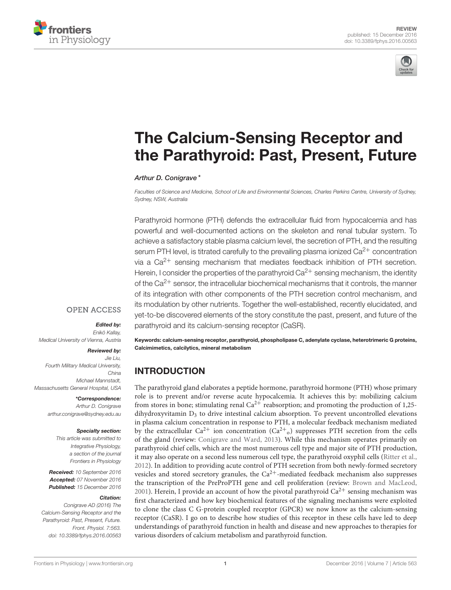



# The Calcium-Sensing Receptor and [the Parathyroid: Past, Present, Future](http://journal.frontiersin.org/article/10.3389/fphys.2016.00563/abstract)

#### [Arthur D. Conigrave](http://loop.frontiersin.org/people/26452/overview)\*

Faculties of Science and Medicine, School of Life and Environmental Sciences, Charles Perkins Centre, University of Sydney, Sydney, NSW, Australia

Parathyroid hormone (PTH) defends the extracellular fluid from hypocalcemia and has powerful and well-documented actions on the skeleton and renal tubular system. To achieve a satisfactory stable plasma calcium level, the secretion of PTH, and the resulting serum PTH level, is titrated carefully to the prevailing plasma ionized  $Ca^{2+}$  concentration via a  $Ca^{2+}$  sensing mechanism that mediates feedback inhibition of PTH secretion. Herein, I consider the properties of the parathyroid  $Ca^{2+}$  sensing mechanism, the identity of the  $Ca^{2+}$  sensor, the intracellular biochemical mechanisms that it controls, the manner of its integration with other components of the PTH secretion control mechanism, and its modulation by other nutrients. Together the well-established, recently elucidated, and yet-to-be discovered elements of the story constitute the past, present, and future of the parathyroid and its calcium-sensing receptor (CaSR).

### **OPEN ACCESS**

# Edited by:

Enikö Kallay, Medical University of Vienna, Austria

#### Reviewed by:

Jie Liu, Fourth Military Medical University, China Michael Mannstadt, Massachusetts General Hospital, USA

\*Correspondence:

Arthur D. Conigrave [arthur.conigrave@sydney.edu.au](mailto:arthur.conigrave@sydney.edu.au)

#### Specialty section:

This article was submitted to Integrative Physiology, a section of the journal Frontiers in Physiology

Received: 10 September 2016 Accepted: 07 November 2016 Published: 15 December 2016

#### Citation:

Conigrave AD (2016) The Calcium-Sensing Receptor and the Parathyroid: Past, Present, Future. Front. Physiol. 7:563. doi: [10.3389/fphys.2016.00563](https://doi.org/10.3389/fphys.2016.00563)

Keywords: calcium-sensing receptor, parathyroid, phospholipase C, adenylate cyclase, heterotrimeric G proteins, Calcimimetics, calcilytics, mineral metabolism

# INTRODUCTION

The parathyroid gland elaborates a peptide hormone, parathyroid hormone (PTH) whose primary role is to prevent and/or reverse acute hypocalcemia. It achieves this by: mobilizing calcium from stores in bone; stimulating renal  $Ca^{2+}$  reabsorption; and promoting the production of 1,25dihydroxyvitamin  $D_3$  to drive intestinal calcium absorption. To prevent uncontrolled elevations in plasma calcium concentration in response to PTH, a molecular feedback mechanism mediated by the extracellular  $Ca^{2+}$  ion concentration  $(Ca^{2+})$  suppresses PTH secretion from the cells of the gland (review: [Conigrave and Ward, 2013\)](#page-9-0). While this mechanism operates primarily on parathyroid chief cells, which are the most numerous cell type and major site of PTH production, it may also operate on a second less numerous cell type, the parathyroid oxyphil cells [\(Ritter et al.,](#page-11-0) [2012\)](#page-11-0). In addition to providing acute control of PTH secretion from both newly-formed secretory vesicles and stored secretory granules, the  $Ca^{2+}$ -mediated feedback mechanism also suppresses the transcription of the PreProPTH gene and cell proliferation (review: [Brown and MacLeod,](#page-9-1) [2001\)](#page-9-1). Herein, I provide an account of how the pivotal parathyroid  $Ca^{2+}$  sensing mechanism was first characterized and how key biochemical features of the signaling mechanisms were exploited to clone the class C G-protein coupled receptor (GPCR) we now know as the calcium-sensing receptor (CaSR). I go on to describe how studies of this receptor in these cells have led to deep understandings of parathyroid function in health and disease and new approaches to therapies for various disorders of calcium metabolism and parathyroid function.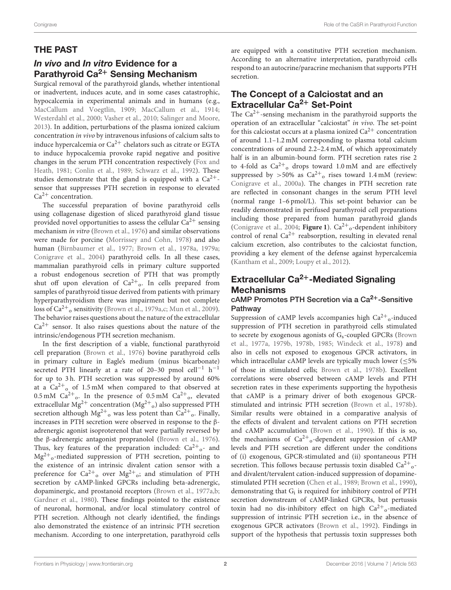# THE PAST

# In vivo and In vitro Evidence for a Parathyroid Ca<sup>2+</sup> Sensing Mechanism

Surgical removal of the parathyroid glands, whether intentional or inadvertent, induces acute, and in some cases catastrophic, hypocalcemia in experimental animals and in humans (e.g., [MacCallum and Voegtlin, 1909;](#page-10-0) [MacCallum et al., 1914;](#page-10-1) [Westerdahl et al., 2000;](#page-12-0) [Vasher et al., 2010;](#page-12-1) [Salinger and Moore,](#page-11-1) [2013\)](#page-11-1). In addition, perturbations of the plasma ionized calcium concentration in vivo by intravenous infusions of calcium salts to induce hypercalcemia or  $Ca^{2+}$  chelators such as citrate or EGTA to induce hypocalcemia provoke rapid negative and positive changes in the serum PTH concentration respectively (Fox and Heath, [1981;](#page-10-2) [Conlin et al., 1989;](#page-9-2) [Schwarz et al., 1992\)](#page-12-2). These studies demonstrate that the gland is equipped with a  $Ca^{2+}$ sensor that suppresses PTH secretion in response to elevated  $Ca<sup>2+</sup> concentration.$ 

The successful preparation of bovine parathyroid cells using collagenase digestion of sliced parathyroid gland tissue provided novel opportunities to assess the cellular  $Ca^{2+}$  sensing mechanism in vitro [\(Brown et al., 1976\)](#page-8-0) and similar observations were made for porcine [\(Morrissey and Cohn, 1978\)](#page-11-2) and also human [\(Birnbaumer et al., 1977;](#page-8-1) [Brown et al., 1978a,](#page-8-2) [1979a;](#page-8-3) [Conigrave et al., 2004\)](#page-9-3) parathyroid cells. In all these cases, mammalian parathyroid cells in primary culture supported a robust endogenous secretion of PTH that was promptly shut off upon elevation of  $Ca^{2+}$ <sub>o</sub>. In cells prepared from samples of parathyroid tissue derived from patients with primary hyperparathyroidism there was impairment but not complete loss of  $Ca^{2+}$ <sub>o</sub> sensitivity [\(Brown et al., 1979a](#page-8-3)[,c;](#page-8-4) [Mun et al., 2009\)](#page-11-3). The behavior raises questions about the nature of the extracellular  $Ca<sup>2+</sup>$  sensor. It also raises questions about the nature of the intrinsic/endogenous PTH secretion mechanism.

In the first description of a viable, functional parathyroid cell preparation [\(Brown et al., 1976\)](#page-8-0) bovine parathyroid cells in primary culture in Eagle's medium (minus bicarbonate) secreted PTH linearly at a rate of 20-30 pmol cell<sup>-1</sup> h<sup>-1</sup> for up to 3 h. PTH secretion was suppressed by around 60% at a  $Ca^{2+}$ <sub>0</sub> of 1.5 mM when compared to that observed at 0.5 mM  $Ca^{2+}$ <sub>0</sub>. In the presence of 0.5 mM  $Ca^{2+}$ <sub>0</sub>, elevated extracellular Mg $^{2+}$  concentration (Mg $^{2+}$ <sub>o</sub>) also suppressed PTH secretion although  $Mg^{2+}$ <sub>o</sub> was less potent than  $Ca^{2+}$ <sub>o</sub>. Finally, increases in PTH secretion were observed in response to the βadrenergic agonist isoproterenol that were partially reversed by the β-adrenergic antagonist propranolol [\(Brown et al., 1976\)](#page-8-0). Thus, key features of the preparation included:  $Ca^{2+}$ <sub>o</sub>- and Mg2<sup>+</sup> <sup>o</sup>-mediated suppression of PTH secretion, pointing to the existence of an intrinsic divalent cation sensor with a preference for  $Ca^{2+}$ <sub>o</sub> over  $Mg^{2+}$ <sub>o</sub>; and stimulation of PTH secretion by cAMP-linked GPCRs including beta-adrenergic, dopaminergic, and prostanoid receptors [\(Brown et al., 1977a](#page-8-5)[,b;](#page-9-4) [Gardner et al., 1980\)](#page-10-3). These findings pointed to the existence of neuronal, hormonal, and/or local stimulatory control of PTH secretion. Although not clearly identified, the findings also demonstrated the existence of an intrinsic PTH secretion mechanism. According to one interpretation, parathyroid cells are equipped with a constitutive PTH secretion mechanism. According to an alternative interpretation, parathyroid cells respond to an autocrine/paracrine mechanism that supports PTH secretion.

# The Concept of a Calciostat and an Extracellular Ca<sup>2+</sup> Set-Point

The  $Ca^{2+}$ -sensing mechanism in the parathyroid supports the operation of an extracellular "calciostat" in vivo. The set-point for this calciostat occurs at a plasma ionized  $Ca^{2+}$  concentration of around 1.1–1.2 mM corresponding to plasma total calcium concentrations of around 2.2–2.4 mM, of which approximately half is in an albumin-bound form. PTH secretion rates rise 2 to 4-fold as  $Ca^{2+}$ <sub>o</sub> drops toward 1.0 mM and are effectively suppressed by  $>50\%$  as  $Ca^{2+}$ <sub>o</sub> rises toward 1.4 mM (review: [Conigrave et al., 2000a\)](#page-9-5). The changes in PTH secretion rate are reflected in consonant changes in the serum PTH level (normal range 1–6 pmol/L). This set-point behavior can be readily demonstrated in perifused parathyroid cell preparations including those prepared from human parathyroid glands [\(Conigrave et al., 2004;](#page-9-3) [Figure 1](#page-2-0)). Ca<sup>2+</sup><sub>o</sub>-dependent inhibitory control of renal  $Ca^{2+}$  reabsorption, resulting in elevated renal calcium excretion, also contributes to the calciostat function, providing a key element of the defense against hypercalcemia [\(Kantham et al., 2009;](#page-10-4) [Loupy et al., 2012\)](#page-10-5).

# Extracellular  $Ca^{2+}$ -Mediated Signaling **Mechanisms**

### cAMP Promotes PTH Secretion via a Ca2+-Sensitive Pathway

Suppression of cAMP levels accompanies high  $Ca^{2+}$ <sub>o</sub>-induced suppression of PTH secretion in parathyroid cells stimulated to secrete by exogenous agonists of  $G_s$ -coupled GPCRs (Brown et al., [1977a,](#page-8-5) [1979b,](#page-8-6) [1978b,](#page-9-6) [1985;](#page-9-7) [Windeck et al., 1978\)](#page-12-3) and also in cells not exposed to exogenous GPCR activators, in which intracellular cAMP levels are typically much lower  $(\leq 5\%)$ of those in stimulated cells; [Brown et al., 1978b\)](#page-9-6). Excellent correlations were observed between cAMP levels and PTH secretion rates in these experiments supporting the hypothesis that cAMP is a primary driver of both exogenous GPCRstimulated and intrinsic PTH secretion [\(Brown et al., 1978b\)](#page-9-6). Similar results were obtained in a comparative analysis of the effects of divalent and tervalent cations on PTH secretion and cAMP accumulation [\(Brown et al., 1990\)](#page-9-8). If this is so, the mechanisms of  $Ca^{2+}$ <sub>o</sub>-dependent suppression of cAMP levels and PTH secretion are different under the conditions of (i) exogenous, GPCR-stimulated and (ii) spontaneous PTH secretion. This follows because pertussis toxin disabled Ca<sup>2+</sup><sub>0</sub>and divalent/tervalent cation-induced suppression of dopaminestimulated PTH secretion [\(Chen et al., 1989;](#page-9-9) [Brown et al., 1990\)](#page-9-8), demonstrating that G<sub>i</sub> is required for inhibitory control of PTH secretion downstream of cAMP-linked GPCRs, but pertussis toxin had no dis-inhibitory effect on high  $Ca^{2+}$ <sub>o</sub>-mediated suppression of intrinsic PTH secretion i.e., in the absence of exogenous GPCR activators [\(Brown et al., 1992\)](#page-9-10). Findings in support of the hypothesis that pertussis toxin suppresses both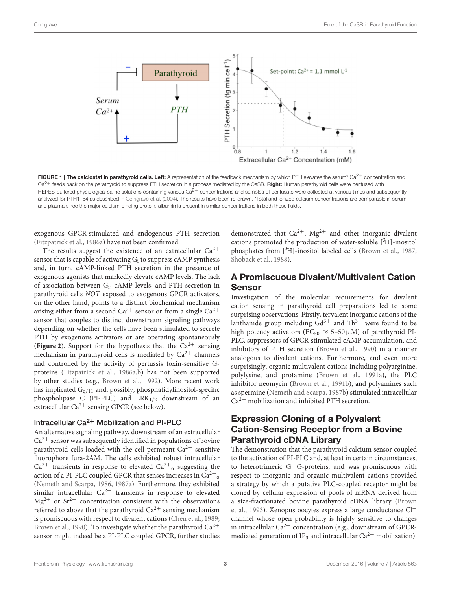

<span id="page-2-0"></span>exogenous GPCR-stimulated and endogenous PTH secretion [\(Fitzpatrick et al., 1986a\)](#page-10-6) have not been confirmed.

The results suggest the existence of an extracellular  $Ca^{2+}$ sensor that is capable of activating  $G_i$  to suppress cAMP synthesis and, in turn, cAMP-linked PTH secretion in the presence of exogenous agonists that markedly elevate cAMP levels. The lack of association between G<sup>i</sup> , cAMP levels, and PTH secretion in parathyroid cells NOT exposed to exogenous GPCR activators, on the other hand, points to a distinct biochemical mechanism arising either from a second  $Ca^{2+}$  sensor or from a single  $Ca^{2+}$ sensor that couples to distinct downstream signaling pathways depending on whether the cells have been stimulated to secrete PTH by exogenous activators or are operating spontaneously (**[Figure 2](#page-3-0)**). Support for the hypothesis that the  $Ca^{2+}$  sensing mechanism in parathyroid cells is mediated by  $Ca^{2+}$  channels and controlled by the activity of pertussis toxin-sensitive Gproteins [\(Fitzpatrick et al., 1986a](#page-10-6)[,b\)](#page-10-7) has not been supported by other studies (e.g., [Brown et al., 1992\)](#page-9-10). More recent work has implicated  $G_{q/11}$  and, possibly, phosphatidylinositol-specific phospholipase C (PI-PLC) and  $ERK_{1/2}$  downstream of an extracellular  $Ca^{2+}$  sensing GPCR (see below).

# Intracellular  $Ca^{2+}$  Mobilization and PI-PLC

An alternative signaling pathway, downstream of an extracellular  $Ca<sup>2+</sup>$  sensor was subsequently identified in populations of bovine parathyroid cells loaded with the cell-permeant  $Ca^{2+}$ -sensitive fluorophore fura-2AM. The cells exhibited robust intracellular  $Ca^{2+}$  transients in response to elevated  $Ca^{2+}$ <sub>o</sub> suggesting the action of a PI-PLC coupled GPCR that senses increases in  $\text{Ca}^{2+}{}_{\text{o}}$ [\(Nemeth and Scarpa, 1986,](#page-11-4) [1987a\)](#page-11-5). Furthermore, they exhibited similar intracellular  $Ca^{2+}$  transients in response to elevated  $Mg^{2+}$  or  $Sr^{2+}$  concentration consistent with the observations referred to above that the parathyroid  $Ca^{2+}$  sensing mechanism is promiscuous with respect to divalent cations [\(Chen et al., 1989;](#page-9-9) [Brown et al., 1990\)](#page-9-8). To investigate whether the parathyroid  $Ca^{2+}$ sensor might indeed be a PI-PLC coupled GPCR, further studies demonstrated that  $Ca^{2+}$ ,  $Mg^{2+}$  and other inorganic divalent cations promoted the production of water-soluble  $[3H]$ -inositol phosphates from [3H]-inositol labeled cells [\(Brown et al., 1987;](#page-9-11) [Shoback et al., 1988\)](#page-12-4).

# A Promiscuous Divalent/Multivalent Cation Sensor

Investigation of the molecular requirements for divalent cation sensing in parathyroid cell preparations led to some surprising observations. Firstly, tervalent inorganic cations of the lanthanide group including  $Gd^{3+}$  and  $Tb^{3+}$  were found to be high potency activators ( $EC_{50} \approx 5-50 \mu M$ ) of parathyroid PI-PLC, suppressors of GPCR-stimulated cAMP accumulation, and inhibitors of PTH secretion [\(Brown et al., 1990\)](#page-9-8) in a manner analogous to divalent cations. Furthermore, and even more surprisingly, organic multivalent cations including polyarginine, polylysine, and protamine [\(Brown et al., 1991a\)](#page-9-12), the PLC inhibitor neomycin [\(Brown et al., 1991b\)](#page-8-7), and polyamines such as spermine [\(Nemeth and Scarpa, 1987b\)](#page-11-6) stimulated intracellular  $Ca<sup>2+</sup>$  mobilization and inhibited PTH secretion.

# Expression Cloning of a Polyvalent Cation-Sensing Receptor from a Bovine Parathyroid cDNA Library

The demonstration that the parathyroid calcium sensor coupled to the activation of PI-PLC and, at least in certain circumstances, to heterotrimeric G<sup>i</sup> G-proteins, and was promiscuous with respect to inorganic and organic multivalent cations provided a strategy by which a putative PLC-coupled receptor might be cloned by cellular expression of pools of mRNA derived from a size-fractionated bovine parathyroid cDNA library (Brown et al., [1993\)](#page-9-13). Xenopus oocytes express a large conductance Cl<sup>−</sup> channel whose open probability is highly sensitive to changes in intracellular  $Ca^{2+}$  concentration (e.g., downstream of GPCRmediated generation of IP<sub>3</sub> and intracellular  $Ca^{2+}$  mobilization).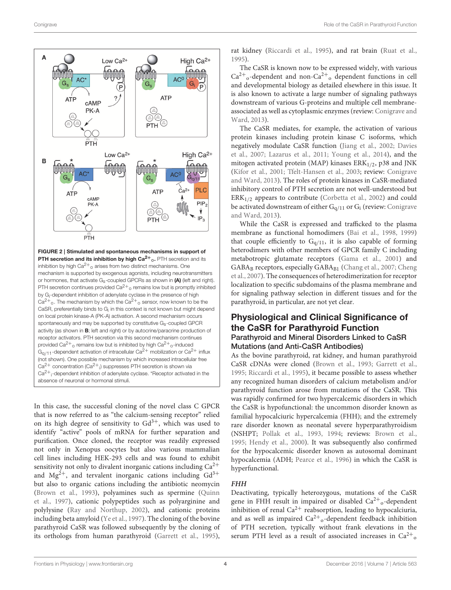

<span id="page-3-0"></span>In this case, the successful cloning of the novel class C GPCR that is now referred to as "the calcium-sensing receptor" relied on its high degree of sensitivity to  $Gd^{3+}$ , which was used to identify "active" pools of mRNA for further separation and purification. Once cloned, the receptor was readily expressed not only in Xenopus oocytes but also various mammalian cell lines including HEK-293 cells and was found to exhibit sensitivity not only to divalent inorganic cations including  $Ca^{2+}$ and Mg<sup>2+</sup>, and tervalent inorganic cations including  $Gd^{3+}$ but also to organic cations including the antibiotic neomycin [\(Brown et al., 1993\)](#page-9-13), polyamines such as spermine (Quinn et al., [1997\)](#page-11-7), cationic polypeptides such as polyarginine and polylysine [\(Ray and Northup, 2002\)](#page-11-8), and cationic proteins including beta amyloid [\(Ye et al., 1997\)](#page-12-5). The cloning of the bovine parathyroid CaSR was followed subsequently by the cloning of its orthologs from human parathyroid [\(Garrett et al., 1995\)](#page-10-8), rat kidney [\(Riccardi et al., 1995\)](#page-11-9), and rat brain [\(Ruat et al.,](#page-11-10) [1995\)](#page-11-10).

The CaSR is known now to be expressed widely, with various  $Ca<sup>2+</sup>_{o}$ -dependent and non- $Ca<sup>2+</sup>_{o}$  dependent functions in cell and developmental biology as detailed elsewhere in this issue. It is also known to activate a large number of signaling pathways downstream of various G-proteins and multiple cell membraneassociated as well as cytoplasmic enzymes (review: Conigrave and Ward, [2013\)](#page-9-0).

The CaSR mediates, for example, the activation of various protein kinases including protein kinase C isoforms, which negatively modulate CaSR function [\(Jiang et al., 2002;](#page-10-9) Davies et al., [2007;](#page-9-14) [Lazarus et al., 2011;](#page-10-10) [Young et al., 2014\)](#page-12-6), and the mitogen activated protein (MAP) kinases  $ERK<sub>1/2</sub>$ , p38 and JNK [\(Kifor et al., 2001;](#page-10-11) [Tfelt-Hansen et al., 2003;](#page-12-7) review: Conigrave and Ward, [2013\)](#page-9-0). The roles of protein kinases in CaSR-mediated inhibitory control of PTH secretion are not well-understood but  $ERK<sub>1/2</sub>$  appears to contribute [\(Corbetta et al., 2002\)](#page-9-15) and could be activated downstream of either  $G_{q/11}$  or  $G_i$  (review: Conigrave and Ward, [2013\)](#page-9-0).

While the CaSR is expressed and trafficked to the plasma membrane as functional homodimers [\(Bai et al., 1998,](#page-8-8) [1999\)](#page-8-9) that couple efficiently to  $G<sub>q/11</sub>$ , it is also capable of forming heterodimers with other members of GPCR family C including metabotropic glutamate receptors [\(Gama et al., 2001\)](#page-10-12) and GABA<sub>B</sub> receptors, especially GABA<sub>B1</sub> [\(Chang et al., 2007;](#page-9-16) Cheng et al., [2007\)](#page-9-17). The consequences of heterodimerization for receptor localization to specific subdomains of the plasma membrane and for signaling pathway selection in different tissues and for the parathyroid, in particular, are not yet clear.

### Physiological and Clinical Significance of the CaSR for Parathyroid Function Parathyroid and Mineral Disorders Linked to CaSR Mutations (and Anti-CaSR Antibodies)

As the bovine parathyroid, rat kidney, and human parathyroid CaSR cDNAs were cloned [\(Brown et al., 1993;](#page-9-13) [Garrett et al.,](#page-10-8) [1995;](#page-10-8) [Riccardi et al., 1995\)](#page-11-9), it became possible to assess whether any recognized human disorders of calcium metabolism and/or parathyroid function arose from mutations of the CaSR. This was rapidly confirmed for two hypercalcemic disorders in which the CaSR is hypofunctional: the uncommon disorder known as familial hypocalciuric hypercalcemia (FHH); and the extremely rare disorder known as neonatal severe hyperparathyroidism (NSHPT; [Pollak et al., 1993,](#page-11-11) [1994;](#page-11-12) reviews: [Brown et al.,](#page-9-18) [1995;](#page-9-18) [Hendy et al., 2000\)](#page-10-13). It was subsequently also confirmed for the hypocalcemic disorder known as autosomal dominant hypocalcemia (ADH; [Pearce et al., 1996\)](#page-11-13) in which the CaSR is hyperfunctional.

### **FHH**

Deactivating, typically heterozygous, mutations of the CaSR gene in FHH result in impaired or disabled  $Ca^{2+}$ <sub>0</sub>-dependent inhibition of renal  $Ca^{2+}$  reabsorption, leading to hypocalciuria, and as well as impaired  $Ca^{2+}$ <sub>o</sub>-dependent feedback inhibition of PTH secretion, typically without frank elevations in the serum PTH level as a result of associated increases in  $Ca^{2+}$ <sub>0</sub>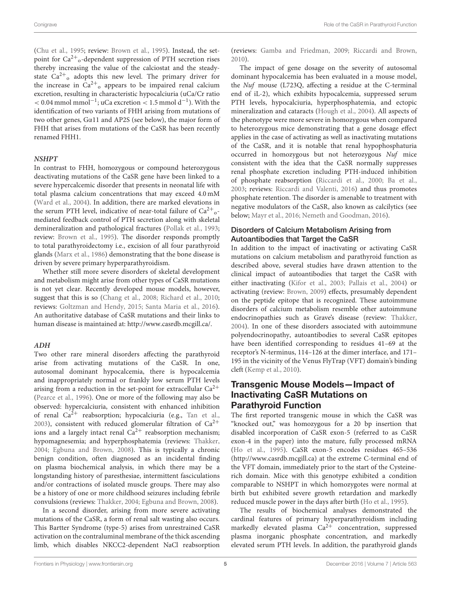[\(Chu et al., 1995;](#page-9-19) review: [Brown et al., 1995\)](#page-9-18). Instead, the setpoint for Ca<sup>2+</sup><sub>o</sub>-dependent suppression of PTH secretion rises thereby increasing the value of the calciostat and the steadystate  $Ca^{2+}$ <sub>o</sub> adopts this new level. The primary driver for the increase in  $Ca^{2+}$ <sub>o</sub> appears to be impaired renal calcium excretion, resulting in characteristic hypocalciuria (uCa/Cr ratio < 0.04 mmol mmol<sup>-1</sup>; uCa excretion < 1.5 mmol d<sup>-1</sup>). With the identification of two variants of FHH arising from mutations of two other genes, Gα11 and AP2S (see below), the major form of FHH that arises from mutations of the CaSR has been recently renamed FHH1.

#### **NSHPT**

In contrast to FHH, homozygous or compound heterozygous deactivating mutations of the CaSR gene have been linked to a severe hypercalcemic disorder that presents in neonatal life with total plasma calcium concentrations that may exceed 4.0 mM [\(Ward et al., 2004\)](#page-12-8). In addition, there are marked elevations in the serum PTH level, indicative of near-total failure of  $Ca^{2+}$ <sub>0</sub>mediated feedback control of PTH secretion along with skeletal demineralization and pathological fractures [\(Pollak et al., 1993;](#page-11-11) review: [Brown et al., 1995\)](#page-9-18). The disorder responds promptly to total parathyroidectomy i.e., excision of all four parathyroid glands [\(Marx et al., 1986\)](#page-11-14) demonstrating that the bone disease is driven by severe primary hyperparathyroidism.

Whether still more severe disorders of skeletal development and metabolism might arise from other types of CaSR mutations is not yet clear. Recently developed mouse models, however, suggest that this is so [\(Chang et al., 2008;](#page-9-20) [Richard et al., 2010;](#page-11-15) reviews: [Goltzman and Hendy, 2015;](#page-10-14) [Santa Maria et al., 2016\)](#page-11-16). An authoritative database of CaSR mutations and their links to human disease is maintained at: [http://www.casrdb.mcgill.ca/.](http://www.casrdb.mcgill.ca/)

#### **ADH**

Two other rare mineral disorders affecting the parathyroid arise from activating mutations of the CaSR. In one, autosomal dominant hypocalcemia, there is hypocalcemia and inappropriately normal or frankly low serum PTH levels arising from a reduction in the set-point for extracellular  $Ca^{2+}$ [\(Pearce et al., 1996\)](#page-11-13). One or more of the following may also be observed: hypercalciuria, consistent with enhanced inhibition of renal  $Ca^{2+}$  reabsorption; hypocalciuria (e.g., [Tan et al.,](#page-12-9) [2003\)](#page-12-9), consistent with reduced glomerular filtration of  $Ca^{2+}$ ions and a largely intact renal  $Ca^{2+}$  reabsorption mechanism; hypomagnesemia; and hyperphosphatemia (reviews: [Thakker,](#page-12-10) [2004;](#page-12-10) [Egbuna and Brown, 2008\)](#page-10-15). This is typically a chronic benign condition, often diagnosed as an incidental finding on plasma biochemical analysis, in which there may be a longstanding history of paresthesiae, intermittent fasciculations and/or contractions of isolated muscle groups. There may also be a history of one or more childhood seizures including febrile convulsions (reviews: [Thakker, 2004;](#page-12-10) [Egbuna and Brown, 2008\)](#page-10-15).

In a second disorder, arising from more severe activating mutations of the CaSR, a form of renal salt wasting also occurs. This Bartter Syndrome (type-5) arises from unrestrained CaSR activation on the contraluminal membrane of the thick ascending limb, which disables NKCC2-dependent NaCl reabsorption (reviews: [Gamba and Friedman, 2009;](#page-10-16) [Riccardi and Brown,](#page-11-17) [2010\)](#page-11-17).

The impact of gene dosage on the severity of autosomal dominant hypocalcemia has been evaluated in a mouse model, the Nuf mouse (L723Q, affecting a residue at the C-terminal end of iL-2), which exhibits hypocalcemia, suppressed serum PTH levels, hypocalciuria, hyperphosphatemia, and ectopic mineralization and cataracts [\(Hough et al., 2004\)](#page-10-17). All aspects of the phenotype were more severe in homozygous when compared to heterozygous mice demonstrating that a gene dosage effect applies in the case of activating as well as inactivating mutations of the CaSR, and it is notable that renal hypophosphaturia occurred in homozygous but not heterozygous Nuf mice consistent with the idea that the CaSR normally suppresses renal phosphate excretion including PTH-induced inhibition of phosphate reabsorption [\(Riccardi et al., 2000;](#page-11-18) [Ba et al.,](#page-8-10) [2003;](#page-8-10) reviews: [Riccardi and Valenti, 2016\)](#page-11-19) and thus promotes phosphate retention. The disorder is amenable to treatment with negative modulators of the CaSR, also known as calcilytics (see below; [Mayr et al., 2016;](#page-11-20) [Nemeth and Goodman, 2016\)](#page-11-21).

#### Disorders of Calcium Metabolism Arising from Autoantibodies that Target the CaSR

In addition to the impact of inactivating or activating CaSR mutations on calcium metabolism and parathyroid function as described above, several studies have drawn attention to the clinical impact of autoantibodies that target the CaSR with either inactivating [\(Kifor et al., 2003;](#page-10-18) [Pallais et al., 2004\)](#page-11-22) or activating (review: [Brown, 2009\)](#page-8-11) effects, presumably dependent on the peptide epitope that is recognized. These autoimmune disorders of calcium metabolism resemble other autoimmune endocrinopathies such as Grave's disease (review: [Thakker,](#page-12-10) [2004\)](#page-12-10). In one of these disorders associated with autoimmune polyendocrinopathy, autoantibodies to several CaSR epitopes have been identified corresponding to residues 41–69 at the receptor's N-terminus, 114–126 at the dimer interface, and 171– 195 in the vicinity of the Venus FlyTrap (VFT) domain's binding cleft [\(Kemp et al., 2010\)](#page-10-19).

# Transgenic Mouse Models—Impact of Inactivating CaSR Mutations on Parathyroid Function

The first reported transgenic mouse in which the CaSR was "knocked out," was homozygous for a 20 bp insertion that disabled incorporation of CaSR exon-5 (referred to as CaSR exon-4 in the paper) into the mature, fully processed mRNA [\(Ho et al., 1995\)](#page-10-20). CaSR exon-5 encodes residues 465–536 [\(http://www.casrdb.mcgill.ca\)](http://www.casrdb.mcgill.ca) at the extreme C-terminal end of the VFT domain, immediately prior to the start of the Cysteinerich domain. Mice with this genotype exhibited a condition comparable to NSHPT in which homozygotes were normal at birth but exhibited severe growth retardation and markedly reduced muscle power in the days after birth [\(Ho et al., 1995\)](#page-10-20).

The results of biochemical analyses demonstrated the cardinal features of primary hyperparathyroidism including markedly elevated plasma  $Ca^{2+}$  concentration, suppressed plasma inorganic phosphate concentration, and markedly elevated serum PTH levels. In addition, the parathyroid glands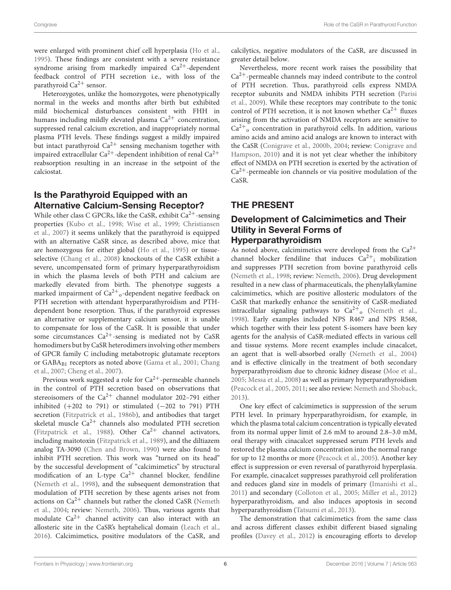were enlarged with prominent chief cell hyperplasia [\(Ho et al.,](#page-10-20) [1995\)](#page-10-20). These findings are consistent with a severe resistance syndrome arising from markedly impaired  $Ca^{2+}$ -dependent feedback control of PTH secretion i.e., with loss of the parathyroid  $Ca^{2+}$  sensor.

Heterozygotes, unlike the homozygotes, were phenotypically normal in the weeks and months after birth but exhibited mild biochemical disturbances consistent with FHH in humans including mildly elevated plasma  $Ca^{2+}$  concentration, suppressed renal calcium excretion, and inappropriately normal plasma PTH levels. These findings suggest a mildly impaired but intact parathyroid  $Ca^{2+}$  sensing mechanism together with impaired extracellular  $Ca^{2+}$ -dependent inhibition of renal  $Ca^{2+}$ reabsorption resulting in an increase in the setpoint of the calciostat.

# Is the Parathyroid Equipped with an Alternative Calcium-Sensing Receptor?

While other class C GPCRs, like the CaSR, exhibit  $Ca^{2+}$ -sensing properties [\(Kubo et al., 1998;](#page-10-21) [Wise et al., 1999;](#page-12-11) Christiansen et al., [2007\)](#page-9-21) it seems unlikely that the parathyroid is equipped with an alternative CaSR since, as described above, mice that are homozygous for either global [\(Ho et al., 1995\)](#page-10-20) or tissueselective [\(Chang et al., 2008\)](#page-9-20) knockouts of the CaSR exhibit a severe, uncompensated form of primary hyperparathyroidism in which the plasma levels of both PTH and calcium are markedly elevated from birth. The phenotype suggests a marked impairment of  $Ca^{2+}$ <sub>0</sub>-dependent negative feedback on PTH secretion with attendant hyperparathyroidism and PTHdependent bone resorption. Thus, if the parathyroid expresses an alternative or supplementary calcium sensor, it is unable to compensate for loss of the CaSR. It is possible that under some circumstances  $Ca^{2+}$ -sensing is mediated not by CaSR homodimers but by CaSR heterodimers involving other members of GPCR family C including metabotropic glutamate receptors or GABA<sub>B1</sub> receptors as noted above [\(Gama et al., 2001;](#page-10-12) Chang et al., [2007;](#page-9-16) [Cheng et al., 2007\)](#page-9-17).

Previous work suggested a role for  $Ca^{2+}$ -permeable channels in the control of PTH secretion based on observations that stereoisomers of the  $Ca^{2+}$  channel modulator 202–791 either inhibited  $(+202 \text{ to } 791)$  or stimulated  $(-202 \text{ to } 791)$  PTH secretion [\(Fitzpatrick et al., 1986b\)](#page-10-7), and antibodies that target skeletal muscle  $Ca^{2+}$  channels also modulated PTH secretion [\(Fitzpatrick et al., 1988\)](#page-10-22). Other  $Ca^{2+}$  channel activators, including maitotoxin [\(Fitzpatrick et al., 1989\)](#page-10-23), and the diltiazem analog TA-3090 [\(Chen and Brown, 1990\)](#page-9-22) were also found to inhibit PTH secretion. This work was "turned on its head" by the successful development of "calcimimetics" by structural modification of an L-type  $Ca^{2+}$  channel blocker, fendiline [\(Nemeth et al., 1998\)](#page-11-23), and the subsequent demonstration that modulation of PTH secretion by these agents arises not from actions on  $Ca^{2+}$  channels but rather the cloned CaSR (Nemeth et al., [2004;](#page-11-24) review: [Nemeth, 2006\)](#page-11-25). Thus, various agents that modulate  $Ca^{2+}$  channel activity can also interact with an allosteric site in the CaSR's heptahelical domain [\(Leach et al.,](#page-10-24) [2016\)](#page-10-24). Calcimimetics, positive modulators of the CaSR, and calcilytics, negative modulators of the CaSR, are discussed in greater detail below.

Nevertheless, more recent work raises the possibility that  $Ca<sup>2+</sup>$ -permeable channels may indeed contribute to the control of PTH secretion. Thus, parathyroid cells express NMDA receptor subunits and NMDA inhibits PTH secretion (Parisi et al., [2009\)](#page-11-26). While these receptors may contribute to the tonic control of PTH secretion, it is not known whether  $Ca^{2+}$  fluxes arising from the activation of NMDA receptors are sensitive to Ca2<sup>+</sup> <sup>o</sup> concentration in parathyroid cells. In addition, various amino acids and amino acid analogs are known to interact with the CaSR [\(Conigrave et al., 2000b,](#page-9-23) [2004;](#page-9-3) review: Conigrave and Hampson, [2010\)](#page-9-24) and it is not yet clear whether the inhibitory effect of NMDA on PTH secretion is exerted by the activation of  $Ca<sup>2+</sup>$ -permeable ion channels or via positive modulation of the CaSR.

# THE PRESENT

# Development of Calcimimetics and Their Utility in Several Forms of Hyperparathyroidism

As noted above, calcimimetics were developed from the  $Ca^{2+}$ channel blocker fendiline that induces  $Ca^{2+}$ <sub>i</sub> mobilization and suppresses PTH secretion from bovine parathyroid cells [\(Nemeth et al., 1998;](#page-11-23) review: [Nemeth, 2006\)](#page-11-25). Drug development resulted in a new class of pharmaceuticals, the phenylalkylamine calcimimetics, which are positive allosteric modulators of the CaSR that markedly enhance the sensitivity of CaSR-mediated intracellular signaling pathways to  $Ca^{2+}$ <sub>0</sub> [\(Nemeth et al.,](#page-11-23) [1998\)](#page-11-23). Early examples included NPS R467 and NPS R568, which together with their less potent S-isomers have been key agents for the analysis of CaSR-mediated effects in various cell and tissue systems. More recent examples include cinacalcet, an agent that is well-absorbed orally [\(Nemeth et al., 2004\)](#page-11-24) and is effective clinically in the treatment of both secondary hyperparathyroidism due to chronic kidney disease [\(Moe et al.,](#page-11-27) [2005;](#page-11-27) [Messa et al., 2008\)](#page-11-28) as well as primary hyperparathyroidism [\(Peacock et al., 2005,](#page-11-29) [2011;](#page-11-30) see also review: [Nemeth and Shoback,](#page-11-31) [2013\)](#page-11-31).

One key effect of calcimimetics is suppression of the serum PTH level. In primary hyperparathyroidism, for example, in which the plasma total calcium concentration is typically elevated from its normal upper limit of 2.6 mM to around 2.8–3.0 mM, oral therapy with cinacalcet suppressed serum PTH levels and restored the plasma calcium concentration into the normal range for up to 12 months or more [\(Peacock et al., 2005\)](#page-11-29). Another key effect is suppression or even reversal of parathyroid hyperplasia. For example, cinacalcet suppresses parathyroid cell proliferation and reduces gland size in models of primary [\(Imanishi et al.,](#page-10-25) [2011\)](#page-10-25) and secondary [\(Colloton et al., 2005;](#page-9-25) [Miller et al., 2012\)](#page-11-32) hyperparathyroidism, and also induces apoptosis in second hyperparathyroidism [\(Tatsumi et al., 2013\)](#page-12-12).

The demonstration that calcimimetics from the same class and across different classes exhibit different biased signaling profiles [\(Davey et al., 2012\)](#page-9-26) is encouraging efforts to develop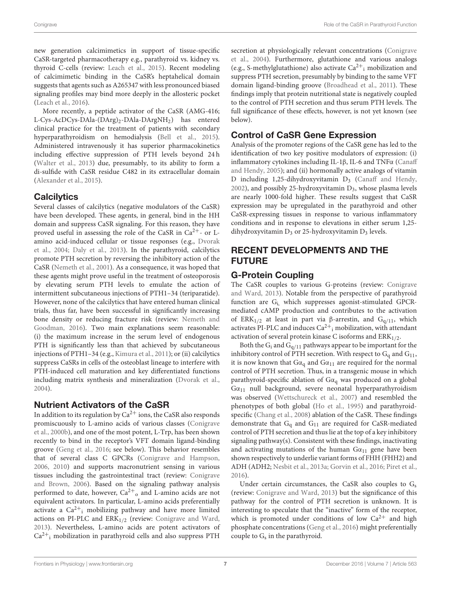new generation calcimimetics in support of tissue-specific CaSR-targeted pharmacotherapy e.g., parathyroid vs. kidney vs. thyroid C-cells (review: [Leach et al., 2015\)](#page-10-26). Recent modeling of calcimimetic binding in the CaSR's heptahelical domain suggests that agents such as A265347 with less pronounced biased signaling profiles may bind more deeply in the allosteric pocket [\(Leach et al., 2016\)](#page-10-24).

More recently, a peptide activator of the CaSR (AMG-416; L-Cys-AcDCys-DAla-(DArg)<sub>2</sub>-DAla-DArgNH<sub>2</sub>) has entered clinical practice for the treatment of patients with secondary hyperparathyroidism on hemodialysis [\(Bell et al., 2015\)](#page-8-12). Administered intravenously it has superior pharmacokinetics including effective suppression of PTH levels beyond 24 h [\(Walter et al., 2013\)](#page-12-13) due, presumably, to its ability to form a di-sulfide with CaSR residue C482 in its extracellular domain [\(Alexander et al., 2015\)](#page-8-13).

### **Calcilytics**

Several classes of calcilytics (negative modulators of the CaSR) have been developed. These agents, in general, bind in the HH domain and suppress CaSR signaling. For this reason, they have proved useful in assessing the role of the CaSR in  $Ca^{2+}$ - or Lamino acid-induced cellular or tissue responses (e.g., Dvorak et al., [2004;](#page-9-27) [Daly et al., 2013\)](#page-9-28). In the parathyroid, calcilytics promote PTH secretion by reversing the inhibitory action of the CaSR [\(Nemeth et al., 2001\)](#page-11-33). As a consequence, it was hoped that these agents might prove useful in the treatment of osteoporosis by elevating serum PTH levels to emulate the action of intermittent subcutaneous injections of PTH1–34 (teriparatide). However, none of the calcilytics that have entered human clinical trials, thus far, have been successful in significantly increasing bone density or reducing fracture risk (review: Nemeth and Goodman, [2016\)](#page-11-21). Two main explanations seem reasonable: (i) the maximum increase in the serum level of endogenous PTH is significantly less than that achieved by subcutaneous injections of PTH1–34 (e.g., [Kimura et al., 2011\)](#page-10-27); or (ii) calcilytics suppress CaSRs in cells of the osteoblast lineage to interfere with PTH-induced cell maturation and key differentiated functions including matrix synthesis and mineralization [\(Dvorak et al.,](#page-9-27) [2004\)](#page-9-27).

# Nutrient Activators of the CaSR

In addition to its regulation by  $Ca^{2+}$  ions, the CaSR also responds promiscuously to L-amino acids of various classes (Conigrave et al., [2000b\)](#page-9-23), and one of the most potent, L-Trp, has been shown recently to bind in the receptor's VFT domain ligand-binding groove [\(Geng et al., 2016;](#page-10-28) see below). This behavior resembles that of several class C GPCRs [\(Conigrave and Hampson,](#page-9-29) [2006,](#page-9-29) [2010\)](#page-9-24) and supports macronutrient sensing in various tissues including the gastrointestinal tract (review: Conigrave and Brown, [2006\)](#page-9-30). Based on the signaling pathway analysis performed to date, however,  $Ca^{2+}$ <sub>o</sub> and L-amino acids are not equivalent activators. In particular, L-amino acids preferentially activate a Ca<sup>2+</sup><sub>i</sub> mobilizing pathway and have more limited actions on PI-PLC and  $ERK_{1/2}$  (review: [Conigrave and Ward,](#page-9-0) [2013\)](#page-9-0). Nevertheless, L-amino acids are potent activators of Ca2<sup>+</sup> <sup>i</sup> mobilization in parathyroid cells and also suppress PTH

secretion at physiologically relevant concentrations (Conigrave et al., [2004\)](#page-9-3). Furthermore, glutathione and various analogs (e.g., S-methylglutathione) also activate  $Ca^{2+}$ ; mobilization and suppress PTH secretion, presumably by binding to the same VFT domain ligand-binding groove [\(Broadhead et al., 2011\)](#page-8-14). These findings imply that protein nutritional state is negatively coupled to the control of PTH secretion and thus serum PTH levels. The full significance of these effects, however, is not yet known (see below).

# Control of CaSR Gene Expression

Analysis of the promoter regions of the CaSR gene has led to the identification of two key positive modulators of expression: (i) inflammatory cytokines including IL-1β, IL-6 and TNFα (Canaff and Hendy, [2005\)](#page-9-31); and (ii) hormonally active analogs of vitamin D including 1,25-dihydroxyvitamin  $D_3$  [\(Canaff and Hendy,](#page-9-32)  $2002$ ), and possibly 25-hydroxyvitamin  $D_3$ , whose plasma levels are nearly 1000-fold higher. These results suggest that CaSR expression may be upregulated in the parathyroid and other CaSR-expressing tissues in response to various inflammatory conditions and in response to elevations in either serum 1,25 dihydroxyvitamin  $D_3$  or 25-hydroxyvitamin  $D_3$  levels.

# RECENT DEVELOPMENTS AND THE FUTURE

# G-Protein Coupling

The CaSR couples to various G-proteins (review: Conigrave and Ward, [2013\)](#page-9-0). Notable from the perspective of parathyroid function are Gi, which suppresses agonist-stimulated GPCRmediated cAMP production and contributes to the activation of ERK<sub>1/2</sub> at least in part via β-arrestin, and G<sub>q/11</sub>, which activates PI-PLC and induces  $Ca^{2+}$ <sub>i</sub> mobilization, with attendant activation of several protein kinase C isoforms and  $ERK_{1/2}$ .

Both the  $G_i$  and  $G_{q/11}$  pathways appear to be important for the inhibitory control of PTH secretion. With respect to  $G_q$  and  $G_{11}$ , it is now known that  $Ga<sub>q</sub>$  and  $Ga<sub>11</sub>$  are required for the normal control of PTH secretion. Thus, in a transgenic mouse in which parathyroid-specific ablation of  $Ga<sub>q</sub>$  was produced on a global  $Ga_{11}$  null background, severe neonatal hyperparathyroidism was observed [\(Wettschureck et al., 2007\)](#page-12-14) and resembled the phenotypes of both global [\(Ho et al., 1995\)](#page-10-20) and parathyroidspecific [\(Chang et al., 2008\)](#page-9-20) ablation of the CaSR. These findings demonstrate that  $G_q$  and  $G_{11}$  are required for CaSR-mediated control of PTH secretion and thus lie at the top of a key inhibitory signaling pathway(s). Consistent with these findings, inactivating and activating mutations of the human  $Ga_{11}$  gene have been shown respectively to underlie variant forms of FHH (FHH2) and ADH (ADH2; [Nesbit et al., 2013a;](#page-11-34) [Gorvin et al., 2016;](#page-10-29) [Piret et al.,](#page-11-35) [2016\)](#page-11-35).

Under certain circumstances, the CaSR also couples to  $G_s$ (review: [Conigrave and Ward, 2013\)](#page-9-0) but the significance of this pathway for the control of PTH secretion is unknown. It is interesting to speculate that the "inactive" form of the receptor, which is promoted under conditions of low  $Ca^{2+}$  and high phosphate concentrations [\(Geng et al., 2016\)](#page-10-28) might preferentially couple to  $G_s$  in the parathyroid.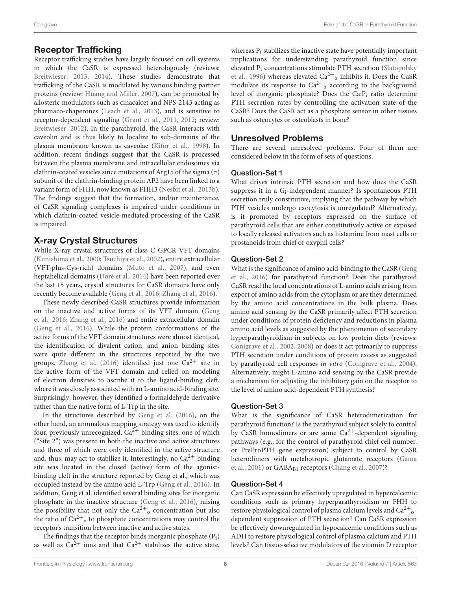### Receptor Trafficking

Receptor trafficking studies have largely focused on cell systems in which the CaSR is expressed heterologously (reviews: [Breitwieser, 2013,](#page-8-15) [2014\)](#page-8-16). These studies demonstrate that trafficking of the CaSR is modulated by various binding partner proteins (review: [Huang and Miller, 2007\)](#page-10-30), can be promoted by allosteric modulators such as cinacalcet and NPS-2143 acting as pharmaco-chaperones [\(Leach et al., 2013\)](#page-10-31), and is sensitive to receptor-dependent signaling [\(Grant et al., 2011,](#page-10-32) [2012;](#page-10-33) review: [Breitwieser, 2012\)](#page-8-17). In the parathyroid, the CaSR interacts with caveolin and is thus likely to localize to sub-domains of the plasma membrane known as caveolae [\(Kifor et al., 1998\)](#page-10-34). In addition, recent findings suggest that the CaSR is processed between the plasma membrane and intracellular endosomes via clathrin-coated vesicles since mutations of Arg15 of the sigma  $(\sigma)$ subunit of the clathrin-binding protein AP2 have been linked to a variant form of FHH, now known as FHH3 [\(Nesbit et al., 2013b\)](#page-11-36). The findings suggest that the formation, and/or maintenance, of CaSR signaling complexes is impaired under conditions in which clathrin-coated vesicle-mediated processing of the CaSR is impaired.

# X-ray Crystal Structures

While X-ray crystal structures of class C GPCR VFT domains [\(Kunishima et al., 2000;](#page-10-35) [Tsuchiya et al., 2002\)](#page-12-15), entire extracellular (VFT-plus-Cys-rich) domains [\(Muto et al., 2007\)](#page-11-37), and even heptahelical domains [\(Doré et al., 2014\)](#page-9-33) have been reported over the last 15 years, crystal structures for CaSR domains have only recently become available [\(Geng et al., 2016;](#page-10-28) [Zhang et al., 2016\)](#page-12-16).

These newly described CaSR structures provide information on the inactive and active forms of its VFT domain (Geng et al., [2016;](#page-10-28) [Zhang et al., 2016\)](#page-12-16) and entire extracellular domain [\(Geng et al., 2016\)](#page-10-28). While the protein conformations of the active forms of the VFT domain structures were almost identical, the identification of divalent cation, and anion binding sites were quite different in the structures reported by the two groups. [Zhang et al. \(2016\)](#page-12-16) identified just one  $Ca^{2+}$  site in the active form of the VFT domain and relied on modeling of electron densities to ascribe it to the ligand-binding cleft, where it was closely associated with an L-amino acid-binding site. Surprisingly, however, they identified a formaldehyde derivative rather than the native form of L-Trp in the site.

In the structures described by [Geng et al. \(2016\)](#page-10-28), on the other hand, an anomalous mapping strategy was used to identify four, previously unrecognized,  $Ca^{2+}$  binding sites, one of which ("Site 2") was present in both the inactive and active structures and three of which were only identified in the active structure and, thus, may act to stabilize it. Interestingly, no  $Ca^{2+}$  binding site was located in the closed (active) form of the agonistbinding cleft in the structure reported by Geng et al., which was occupied instead by the amino acid L-Trp [\(Geng et al., 2016\)](#page-10-28). In addition, Geng et al. identified several binding sites for inorganic phosphate in the inactive structure [\(Geng et al., 2016\)](#page-10-28), raising the possibility that not only the  $Ca^{2+}$ <sub>0</sub> concentration but also the ratio of  $Ca^{2+}$ <sub>o</sub> to phosphate concentrations may control the receptor's transition between inactive and active states.

The findings that the receptor binds inorganic phosphate  $(P_i)$ as well as  $Ca^{2+}$  ions and that  $Ca^{2+}$  stabilizes the active state, whereas  $P_i$  stabilizes the inactive state have potentially important implications for understanding parathyroid function since elevated P<sub>i</sub> concentrations stimulate PTH secretion (Slatopolsky et al., [1996\)](#page-12-17) whereas elevated  $Ca^{2+}$ <sub>o</sub> inhibits it. Does the CaSR modulate its response to  $Ca^{2+}$ <sub>o</sub> according to the background level of inorganic phosphate? Does the Ca:P<sup>i</sup> ratio determine PTH secretion rates by controlling the activation state of the CaSR? Does the CaSR act as a phosphate sensor in other tissues such as osteocytes or osteoblasts in bone?

### Unresolved Problems

There are several unresolved problems. Four of them are considered below in the form of sets of questions.

### Question-Set 1

What drives intrinsic PTH secretion and how does the CaSR suppress it in a  $G_i$ -independent manner? Is spontaneous PTH secretion truly constitutive, implying that the pathway by which PTH vesicles undergo exocytosis is unregulated? Alternatively, is it promoted by receptors expressed on the surface of parathyroid cells that are either constitutively active or exposed to locally released activators such as histamine from mast cells or prostanoids from chief or oxyphil cells?

### Question-Set 2

What is the significance of amino acid-binding to the CaSR (Geng et al., [2016\)](#page-10-28) for parathyroid function? Does the parathyroid CaSR read the local concentrations of L-amino acids arising from export of amino acids from the cytoplasm or are they determined by the amino acid concentrations in the bulk plasma. Does amino acid sensing by the CaSR primarily affect PTH secretion under conditions of protein deficiency and reductions in plasma amino acid levels as suggested by the phenomenon of secondary hyperparathyroidism in subjects on low protein diets (reviews: [Conigrave et al., 2002,](#page-9-34) [2008\)](#page-9-35) or does it act primarily to suppress PTH secretion under conditions of protein excess as suggested by parathyroid cell responses in vitro [\(Conigrave et al., 2004\)](#page-9-3). Alternatively, might L-amino acid sensing by the CaSR provide a mechanism for adjusting the inhibitory gain on the receptor to the level of amino acid-dependent PTH synthesis?

### Question-Set 3

What is the significance of CaSR heterodimerization for parathyroid function? Is the parathyroid subject solely to control by CaSR homodimers or are some  $Ca^{2+}$ -dependent signaling pathways (e.g., for the control of parathyroid chief cell number, or PreProPTH gene expression) subject to control by CaSR heterodimers with metabotropic glutamate receptors (Gama et al., [2001\)](#page-10-12) or GABAB1 receptors [\(Chang et al., 2007\)](#page-9-16)?

### Question-Set 4

Can CaSR expression be effectively upregulated in hypercalcemic conditions such as primary hyperparathyroidism or FHH to restore physiological control of plasma calcium levels and  $\rm Ca^{2+}_{\rm o}$ dependent suppression of PTH secretion? Can CaSR expression be effectively downregulated in hypocalcemic conditions such as ADH to restore physiological control of plasma calcium and PTH levels? Can tissue-selective modulators of the vitamin D receptor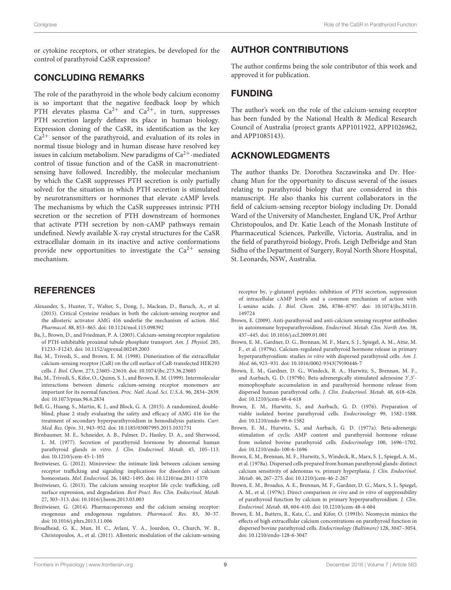or cytokine receptors, or other strategies, be developed for the control of parathyroid CaSR expression?

# CONCLUDING REMARKS

The role of the parathyroid in the whole body calcium economy is so important that the negative feedback loop by which PTH elevates plasma  $Ca^{2+}$  and  $Ca^{2+}$ , in turn, suppresses PTH secretion largely defines its place in human biology. Expression cloning of the CaSR, its identification as the key  $Ca<sup>2+</sup>$  sensor of the parathyroid, and evaluation of its roles in normal tissue biology and in human disease have resolved key issues in calcium metabolism. New paradigms of  $Ca^{2+}$ -mediated control of tissue function and of the CaSR in macronutrientsensing have followed. Incredibly, the molecular mechanism by which the CaSR suppresses PTH secretion is only partially solved: for the situation in which PTH secretion is stimulated by neurotransmitters or hormones that elevate cAMP levels. The mechanisms by which the CaSR suppresses intrinsic PTH secretion or the secretion of PTH downstream of hormones that activate PTH secretion by non-cAMP pathways remain undefined. Newly available X-ray crystal structures for the CaSR extracellular domain in its inactive and active conformations provide new opportunities to investigate the  $Ca^{2+}$  sensing mechanism.

# **REFERENCES**

- <span id="page-8-13"></span>Alexander, S., Hunter, T., Walter, S., Dong, J., Maclean, D., Baruch, A., et al. (2015). Critical Cysteine residues in both the calcium-sensing receptor and the allosteric activator AMG 416 underlie the mechanism of action. Mol. Pharmacol. 88, 853–865. doi: [10.1124/mol.115.098392](https://doi.org/10.1124/mol.115.098392)
- <span id="page-8-10"></span>Ba, J., Brown, D., and Friedman, P. A. (2003). Calcium-sensing receptor regulation of PTH-inhibitable proximal tubule phosphate transport. Am. J. Physiol. 285, F1233–F1243. doi: [10.1152/ajprenal.00249.2003](https://doi.org/10.1152/ajprenal.00249.2003)
- <span id="page-8-8"></span>Bai, M., Trivedi, S., and Brown, E. M. (1998). Dimerization of the extracellular calcium-sensing receptor (CaR) on the cell surface of CaR-transfected HEK293 cells. J. Biol. Chem. 273, 23605–23610. doi: [10.1074/jbc.273.36.23605](https://doi.org/10.1074/jbc.273.36.23605)
- <span id="page-8-9"></span>Bai, M., Trivedi, S., Kifor, O., Quinn, S. J., and Brown, E. M. (1999). Intermolecular interactions between dimeric calcium-sensing receptor monomers are important for its normal function. Proc. Natl. Acad. Sci. U.S.A. 96, 2834–2839. doi: [10.1073/pnas.96.6.2834](https://doi.org/10.1073/pnas.96.6.2834)
- <span id="page-8-12"></span>Bell, G., Huang, S., Martin, K. J., and Block, G. A. (2015). A randomized, doubleblind, phase 2 study evaluating the safety and efficacy of AMG 416 for the treatment of secondary hyperparathyroidism in hemodialysis patients. Curr. Med. Res. Opin. 31, 943–952. doi: [10.1185/03007995.2015.1031731](https://doi.org/10.1185/03007995.2015.1031731)
- <span id="page-8-1"></span>Birnbaumer, M. E., Schneider, A. B., Palmer, D., Hanley, D. A., and Sherwood, L. M. (1977). Secretion of parathyroid hormone by abnormal human parathyroid glands in vitro. J. Clin. Endocrinol. Metab. 45, 105–113. doi: [10.1210/jcem-45-1-105](https://doi.org/10.1210/jcem-45-1-105)
- <span id="page-8-17"></span>Breitwieser, G. (2012). Minireview: the intimate link between calcium sensing receptor trafficking and signaling: implications for disorders of calcium homeostasis. Mol. Endocrinol. 26, 1482–1495. doi: [10.1210/me.2011-1370](https://doi.org/10.1210/me.2011-1370)
- <span id="page-8-15"></span>Breitwieser, G. (2013). The calcium sensing receptor life cycle: trafficking, cell surface expression, and degradation. Best Pract. Res. Clin. Endocrinol. Metab. 27, 303–313. doi: [10.1016/j.beem.2013.03.003](https://doi.org/10.1016/j.beem.2013.03.003)
- <span id="page-8-16"></span>Breitwieser, G. (2014). Pharmacoperones and the calcium sensing receptor: exogenous and endogenous regulators. Pharmacol. Res. 83, 30–37. doi: [10.1016/j.phrs.2013.11.006](https://doi.org/10.1016/j.phrs.2013.11.006)
- <span id="page-8-14"></span>Broadhead, G. K., Mun, H. C., Avlani, V. A., Jourdon, O., Church, W. B., Christopoulos, A., et al. (2011). Allosteric modulation of the calcium-sensing

# AUTHOR CONTRIBUTIONS

The author confirms being the sole contributor of this work and approved it for publication.

# FUNDING

The author's work on the role of the calcium-sensing receptor has been funded by the National Health & Medical Research Council of Australia (project grants APP1011922, APP1026962, and APP1085143).

# ACKNOWLEDGMENTS

The author thanks Dr. Dorothea Szczawinska and Dr. Heechang Mun for the opportunity to discuss several of the issues relating to parathyroid biology that are considered in this manuscript. He also thanks his current collaborators in the field of calcium-sensing receptor biology including Dr. Donald Ward of the University of Manchester, England UK, Prof Arthur Christopoulos, and Dr. Katie Leach of the Monash Institute of Pharmaceutical Sciences, Parkville, Victoria, Australia, and in the field of parathyroid biology, Profs. Leigh Delbridge and Stan Sidhu of the Department of Surgery, Royal North Shore Hospital, St. Leonards, NSW, Australia.

receptor by, γ-glutamyl peptides: inhibition of PTH secretion, suppression of intracellular cAMP levels and a common mechanism of action with L-amino acids. J. Biol. Chem. [286, 8786–8797. doi: 10.1074/jbc.M110.](https://doi.org/10.1074/jbc.M110.149724) 149724

- <span id="page-8-11"></span>Brown, E. (2009). Anti-parathyroid and anti-calcium sensing receptor antibodies in autoimmune hypoparathyroidism. Endocrinol. Metab. Clin. North Am. 38, 437–445. doi: [10.1016/j.ecl.2009.01.001](https://doi.org/10.1016/j.ecl.2009.01.001)
- <span id="page-8-3"></span>Brown, E. M., Gardner, D. G., Brennan, M. F., Marx, S. J., Spiegel, A. M., Attie, M. F., et al. (1979a). Calcium-regulated parathyroid hormone release in primary hyperparathyroidism: studies in vitro with dispersed parathyroid cells. Am. J. Med. 66, 923–931. doi: [10.1016/0002-9343\(79\)90446-7](https://doi.org/10.1016/0002-9343(79)90446-7)
- <span id="page-8-6"></span>Brown, E. M., Gardner, D. G., Windeck, R. A., Hurwitz, S., Brennan, M. F., and Aurbach, G. D. (1979b). Beta-adrenergically stimulated adenosine  $3'$ ,  $5'$ monophosphate accumulation in and parathyroid hormone release from dispersed human parathyroid cells. J. Clin. Endocrinol. Metab. 48, 618–626. doi: [10.1210/jcem-48-4-618](https://doi.org/10.1210/jcem-48-4-618)
- <span id="page-8-0"></span>Brown, E. M., Hurwitz, S., and Aurbach, G. D. (1976). Preparation of viable isolated bovine parathyroid cells. Endocrinology 99, 1582–1588. doi: [10.1210/endo-99-6-1582](https://doi.org/10.1210/endo-99-6-1582)
- <span id="page-8-5"></span>Brown, E. M., Hurwitz, S., and Aurbach, G. D. (1977a). Beta-adrenergic stimulation of cyclic AMP content and parathyroid hormone release from isolated bovine parathyroid cells. Endocrinology 100, 1696–1702. doi: [10.1210/endo-100-6-1696](https://doi.org/10.1210/endo-100-6-1696)
- <span id="page-8-2"></span>Brown, E. M., Brennan, M. F., Hurwitz, S., Windeck, R., Marx, S. J., Spiegel, A. M., et al. (1978a). Dispersed cells prepared from human parathyroid glands: distinct calcium sensitivity of adenomas vs. primary hyperplasia. J. Clin. Endocrinol. Metab. 46, 267–275. doi: [10.1210/jcem-46-2-267](https://doi.org/10.1210/jcem-46-2-267)
- <span id="page-8-4"></span>Brown, E. M., Broadus, A. E., Brennan, M. F., Gardner, D. G., Marx, S. J., Spiegel, A. M., et al. (1979c). Direct comparison in vivo and in vitro of suppressibility of parathyroid function by calcium in primary hyperparathyroidism. J. Clin. Endocrinol. Metab. 48, 604–610. doi: [10.1210/jcem-48-4-604](https://doi.org/10.1210/jcem-48-4-604)
- <span id="page-8-7"></span>Brown, E. M., Butters, R., Katz, C., and Kifor, O. (1991b). Neomycin mimics the effects of high extracellular calcium concentrations on parathyroid function in dispersed bovine parathyroid cells. Endocrinology (Baltimore) 128, 3047–3054. doi: [10.1210/endo-128-6-3047](https://doi.org/10.1210/endo-128-6-3047)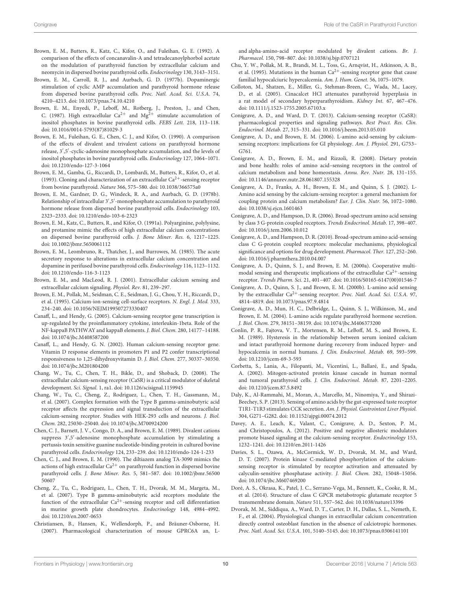- <span id="page-9-10"></span>Brown, E. M., Butters, R., Katz, C., Kifor, O., and Fuleihan, G. E. (1992). A comparison of the effects of concanavalin-A and tetradecanoylphorbol acetate on the modulation of parathyroid function by extracellular calcium and neomycin in dispersed bovine parathyroid cells. Endocrinology 130, 3143–3151.
- <span id="page-9-4"></span>Brown, E. M., Carroll, R. J., and Aurbach, G. D. (1977b). Dopaminergic stimulation of cyclic AMP accumulation and parathyroid hormone release from dispersed bovine parathyroid cells. Proc. Natl. Acad. Sci. U.S.A. 74, 4210–4213. doi: [10.1073/pnas.74.10.4210](https://doi.org/10.1073/pnas.74.10.4210)
- <span id="page-9-11"></span>Brown, E. M., Enyedi, P., Leboff, M., Rotberg, J., Preston, J., and Chen, C. (1987). High extracellular  $Ca^{2+}$  and  $Mg^{2+}$  stimulate accumulation of inositol phosphates in bovine parathyroid cells. FEBS Lett. 218, 113–118. doi: [10.1016/0014-5793\(87\)81029-3](https://doi.org/10.1016/0014-5793(87)81029-3)
- <span id="page-9-8"></span>Brown, E. M., Fuleihan, G. E., Chen, C. J., and Kifor, O. (1990). A comparison of the effects of divalent and trivalent cations on parathyroid hormone release, 3′ ,5′ -cyclic-adenosine monophosphate accumulation, and the levels of inositol phosphates in bovine parathyroid cells. Endocrinology 127, 1064–1071. doi: [10.1210/endo-127-3-1064](https://doi.org/10.1210/endo-127-3-1064)
- <span id="page-9-13"></span>Brown, E. M., Gamba, G., Riccardi, D., Lombardi, M., Butters, R., Kifor, O., et al. (1993). Cloning and characterization of an extracellular  $Ca^{2+}$ -sensing receptor from bovine parathyroid. Nature 366, 575–580. doi: [10.1038/366575a0](https://doi.org/10.1038/366575a0)
- <span id="page-9-6"></span>Brown, E. M., Gardner, D. G., Windeck, R. A., and Aurbach, G. D. (1978b). Relationship of intracellular 3′ ,5′ -monophosphate accumulation to parathyroid hormone release from dispersed bovine parathyroid cells. Endocrinology 103, 2323–2333. doi: [10.1210/endo-103-6-2323](https://doi.org/10.1210/endo-103-6-2323)
- <span id="page-9-12"></span>Brown, E. M., Katz, C., Butters, R., and Kifor, O. (1991a). Polyarginine, polylysine, and protamine mimic the effects of high extracellular calcium concentrations on dispersed bovine parathyroid cells. J. Bone Miner. Res. 6, 1217–1225. doi: [10.1002/jbmr.5650061112](https://doi.org/10.1002/jbmr.5650061112)
- <span id="page-9-7"></span>Brown, E. M., Leombruno, R., Thatcher, J., and Burrowes, M. (1985). The acute secretory response to alterations in extracellular calcium concentration and dopamine in perifused bovine parathyroid cells. Endocrinology 116, 1123–1132. doi: [10.1210/endo-116-3-1123](https://doi.org/10.1210/endo-116-3-1123)
- <span id="page-9-1"></span>Brown, E. M., and MacLeod, R. J. (2001). Extracellular calcium sensing and extracellular calcium signaling. Physiol. Rev. 81, 239–297.
- <span id="page-9-18"></span>Brown, E. M., Pollak, M., Seidman, C. E., Seidman, J. G., Chou, Y. H., Riccardi, D., et al. (1995). Calcium-ion-sensing cell-surface receptors. N. Engl. J. Med. 333, 234–240. doi: [10.1056/NEJM199507273330407](https://doi.org/10.1056/NEJM199507273330407)
- <span id="page-9-31"></span>Canaff, L., and Hendy, G. (2005). Calcium-sensing receptor gene transcription is up-regulated by the proinflammatory cytokine, interleukin-1beta. Role of the NF-kappaB PATHWAY and kappaB elements. J. Biol. Chem. 280, 14177–14188. doi: [10.1074/jbc.M408587200](https://doi.org/10.1074/jbc.M408587200)
- <span id="page-9-32"></span>Canaff, L., and Hendy, G. N. (2002). Human calcium-sensing receptor gene. Vitamin D response elements in promoters P1 and P2 confer transcriptional responsiveness to 1,25-dihydroxyvitamin D. J. Biol. Chem. 277, 30337–30350. doi: [10.1074/jbc.M201804200](https://doi.org/10.1074/jbc.M201804200)
- <span id="page-9-20"></span>Chang, W., Tu, C., Chen, T. H., Bikle, D., and Shoback, D. (2008). The extracellular calcium-sensing receptor (CaSR) is a critical modulator of skeletal development. Sci. Signal. 1, ra1. doi: [10.1126/scisignal.1159945](https://doi.org/10.1126/scisignal.1159945)
- <span id="page-9-16"></span>Chang, W., Tu, C., Cheng, Z., Rodriguez, L., Chen, T. H., Gassmann, M., et al. (2007). Complex formation with the Type B gamma-aminobutyric acid receptor affects the expression and signal transduction of the extracellular calcium-sensing receptor. Studies with HEK-293 cells and neurons. J. Biol. Chem. 282, 25030–25040. doi: [10.1074/jbc.M700924200](https://doi.org/10.1074/jbc.M700924200)
- <span id="page-9-9"></span>Chen, C. J., Barnett, J. V., Congo, D. A., and Brown, E. M. (1989). Divalent cations suppress  $3'$ , 5'-adenosine monophosphate accumulation by stimulating a pertussis toxin sensitive guanine nucleotide-binding protein in cultured bovine parathyroid cells. Endocrinology 124, 233–239. doi: [10.1210/endo-124-1-233](https://doi.org/10.1210/endo-124-1-233)
- <span id="page-9-22"></span>Chen, C. J., and Brown, E. M. (1990). The diltiazem analog TA-3090 mimics the actions of high extracellular  $Ca^{2+}$  on parathyroid function in dispersed bovine parathyroid cells. J. Bone Miner. Res. [5, 581–587. doi: 10.1002/jbmr.56500](https://doi.org/10.1002/jbmr.5650050607) 50607
- <span id="page-9-17"></span>Cheng, Z., Tu, C., Rodriguez, L., Chen, T. H., Dvorak, M. M., Margeta, M., et al. (2007). Type B gamma-aminobutyric acid receptors modulate the function of the extracellular Ca<sup>2+</sup>-sensing receptor and cell differentiation in murine growth plate chondrocytes. Endocrinology 148, 4984–4992. doi: [10.1210/en.2007-0653](https://doi.org/10.1210/en.2007-0653)
- <span id="page-9-21"></span>Christiansen, B., Hansen, K., Wellendorph, P., and Bräuner-Osborne, H. (2007). Pharmacological characterization of mouse GPRC6A an, L-

and alpha-amino-acid receptor modulated by divalent cations. Br. J. Pharmacol. 150, 798–807. doi: [10.1038/sj.bjp.0707121](https://doi.org/10.1038/sj.bjp.0707121)

- <span id="page-9-19"></span>Chu, Y. W., Pollak, M. R., Brandi, M. L., Toss, G., Arnqvist, H., Atkinson, A. B., et al. (1995). Mutations in the human  $Ca^{2+}$ -sensing receptor gene that cause familial hypocalciuric hypercalcemia. Am. J. Hum. Genet. 56, 1075–1079.
- <span id="page-9-25"></span>Colloton, M., Shatzen, E., Miller, G., Stehman-Breen, C., Wada, M., Lacey, D., et al. (2005). Cinacalcet HCl attenuates parathyroid hyperplasia in a rat model of secondary hyperparathyroidism. Kidney Int. 67, 467–476. doi: [10.1111/j.1523-1755.2005.67103.x](https://doi.org/10.1111/j.1523-1755.2005.67103.x)
- <span id="page-9-0"></span>Conigrave, A. D., and Ward, D. T. (2013). Calcium-sensing receptor (CaSR): pharmacological properties and signaling pathways. Best Pract. Res. Clin. Endocrinol. Metab. 27, 315–331. doi: [10.1016/j.beem.2013.05.010](https://doi.org/10.1016/j.beem.2013.05.010)
- <span id="page-9-30"></span>Conigrave, A. D., and Brown, E. M. (2006). L-amino acid-sensing by calciumsensing receptors: implications for GI physiology. Am. J. Physiol. 291, G753– G761.
- <span id="page-9-35"></span>Conigrave, A. D., Brown, E. M., and Rizzoli, R. (2008). Dietary protein and bone health: roles of amino acid–sensing receptors in the control of calcium metabolism and bone homeostasis. Annu. Rev. Nutr. 28, 131–155. doi: [10.1146/annurev.nutr.28.061807.155328](https://doi.org/10.1146/annurev.nutr.28.061807.155328)
- <span id="page-9-34"></span>Conigrave, A. D., Franks, A. H., Brown, E. M., and Quinn, S. J. (2002). L-Amino acid sensing by the calcium-sensing receptor: a general mechanism for coupling protein and calcium metabolism? Eur. J. Clin. Nutr. 56, 1072–1080. doi: [10.1038/sj.ejcn.1601463](https://doi.org/10.1038/sj.ejcn.1601463)
- <span id="page-9-29"></span>Conigrave, A. D., and Hampson, D. R. (2006). Broad-spectrum amino acid sensing by class 3 G-protein coupled receptors. Trends Endocrinol. Metab. 17, 398–407. doi: [10.1016/j.tem.2006.10.012](https://doi.org/10.1016/j.tem.2006.10.012)
- <span id="page-9-24"></span>Conigrave, A. D., and Hampson, D. R. (2010). Broad-spectrum amino acid-sensing class C G-protein coupled receptors: molecular mechanisms, physiological significance and options for drug development. Pharmacol. Ther. 127, 252–260. doi: [10.1016/j.pharmthera.2010.04.007](https://doi.org/10.1016/j.pharmthera.2010.04.007)
- <span id="page-9-5"></span>Conigrave, A. D., Quinn, S. J., and Brown, E. M. (2000a). Cooperative multimodal sensing and therapeutic implications of the extracellular  $Ca^{2+}$ -sensing receptor. Trends Pharm. Sci. 21, 401–407. doi: [10.1016/S0165-6147\(00\)01546-7](https://doi.org/10.1016/S0165-6147(00)01546-7)
- <span id="page-9-23"></span>Conigrave, A. D., Quinn, S. J., and Brown, E. M. (2000b). L-amino acid sensing by the extracellular Ca<sup>2+</sup>-sensing receptor. Proc. Natl. Acad. Sci. U.S.A. 97, 4814–4819. doi: [10.1073/pnas.97.9.4814](https://doi.org/10.1073/pnas.97.9.4814)
- <span id="page-9-3"></span>Conigrave, A. D., Mun, H. C., Delbridge, L., Quinn, S. J., Wilkinson, M., and Brown, E. M. (2004). L-amino acids regulate parathyroid hormone secretion. J. Biol. Chem. 279, 38151–38159. doi: [10.1074/jbc.M406373200](https://doi.org/10.1074/jbc.M406373200)
- <span id="page-9-2"></span>Conlin, P. R., Fajtova, V. T., Mortensen, R. M., LeBoff, M. S., and Brown, E. M. (1989). Hysteresis in the relationship between serum ionized calcium and intact parathyroid hormone during recovery from induced hyper- and hypocalcemia in normal humans. J. Clin. Endocrinol. Metab. 69, 593–599. doi: [10.1210/jcem-69-3-593](https://doi.org/10.1210/jcem-69-3-593)
- <span id="page-9-15"></span>Corbetta, S., Lania, A., Filopanti, M., Vicentini, L., Ballaré, E., and Spada, A. (2002). Mitogen-activated protein kinase cascade in human normal and tumoral parathyroid cells. J. Clin. Endocrinol. Metab. 87, 2201–2205. doi: [10.1210/jcem.87.5.8492](https://doi.org/10.1210/jcem.87.5.8492)
- <span id="page-9-28"></span>Daly, K., Al-Rammahi, M., Moran, A., Marcello, M., Ninomiya, Y., and Shirazi-Beechey, S. P. (2013). Sensing of amino acids by the gut-expressed taste receptor T1R1-T1R3 stimulates CCK secretion. Am. J. Physiol. Gastrointest Liver Physiol. 304, G271–G282. doi: [10.1152/ajpgi.00074.2012](https://doi.org/10.1152/ajpgi.00074.2012)
- <span id="page-9-26"></span>Davey, A. E., Leach, K., Valant, C., Conigrave, A. D., Sexton, P. M., and Christopoulos, A. (2012). Positive and negative allosteric modulators promote biased signaling at the calcium-sensing receptor. Endocrinology 153, 1232–1241. doi: [10.1210/en.2011-1426](https://doi.org/10.1210/en.2011-1426)
- <span id="page-9-14"></span>Davies, S. L., Ozawa, A., McCormick, W. D., Dvorak, M. M., and Ward, D. T. (2007). Protein kinase C-mediated phosphorylation of the calciumsensing receptor is stimulated by receptor activation and attenuated by calyculin-sensitive phosphatase activity. J. Biol. Chem. 282, 15048–15056. doi: [10.1074/jbc.M607469200](https://doi.org/10.1074/jbc.M607469200)
- <span id="page-9-33"></span>Doré, A. S., Okrasa, K., Patel, J. C., Serrano-Vega, M., Bennett, K., Cooke, R. M., et al. (2014). Structure of class C GPCR metabotropic glutamate receptor 5 transmembrane domain. Nature 511, 557–562. doi: [10.1038/nature13396](https://doi.org/10.1038/nature13396)
- <span id="page-9-27"></span>Dvorak, M. M., Siddiqua, A., Ward, D. T., Carter, D. H., Dallas, S. L., Nemeth, E. F., et al. (2004). Physiological changes in extracellular calcium concentration directly control osteoblast function in the absence of calciotropic hormones. Proc. Natl. Acad. Sci. U.S.A. 101, 5140–5145. doi: [10.1073/pnas.0306141101](https://doi.org/10.1073/pnas.0306141101)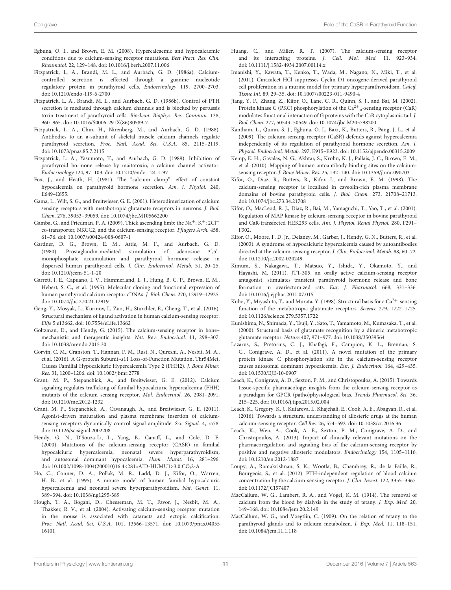- <span id="page-10-15"></span>Egbuna, O. I., and Brown, E. M. (2008). Hypercalcaemic and hypocalcaemic conditions due to calcium-sensing receptor mutations. Best Pract. Res. Clin. Rheumatol. 22, 129–148. doi: [10.1016/j.berh.2007.11.006](https://doi.org/10.1016/j.berh.2007.11.006)
- <span id="page-10-6"></span>Fitzpatrick, L. A., Brandi, M. L., and Aurbach, G. D. (1986a). Calciumcontrolled secretion is effected through a guanine nucleotide regulatory protein in parathyroid cells. Endocrinology 119, 2700–2703. doi: [10.1210/endo-119-6-2700](https://doi.org/10.1210/endo-119-6-2700)
- <span id="page-10-7"></span>Fitzpatrick, L. A., Brandi, M. L., and Aurbach, G. D. (1986b). Control of PTH secretion is mediated through calcium channels and is blocked by pertussis toxin treatment of parathyroid cells. Biochem. Biophys. Res. Commun. 138, 960–965. doi: [10.1016/S0006-291X\(86\)80589-7](https://doi.org/10.1016/S0006-291X(86)80589-7)
- <span id="page-10-22"></span>Fitzpatrick, L. A., Chin, H., Nirenberg, M., and Aurbach, G. D. (1988). Antibodies to an a-subunit of skeletal muscle calcium channels regulate parathyroid secretion. Proc. Natl. Acad. Sci. U.S.A. 85, 2115–2119. doi: [10.1073/pnas.85.7.2115](https://doi.org/10.1073/pnas.85.7.2115)
- <span id="page-10-23"></span>Fitzpatrick, L. A., Yasumoto, T., and Aurbach, G. D. (1989). Inhibition of parathyroid hormone release by maitotoxin, a calcium channel activator. Endocrinology 124, 97–103. doi: [10.1210/endo-124-1-97](https://doi.org/10.1210/endo-124-1-97)
- <span id="page-10-2"></span>Fox, J., and Heath, H. (1981). The "calcium clamp": effect of constant hypocalcemia on parathyroid hormone secretion. Am. J. Physiol. 240, E649–E655.
- <span id="page-10-12"></span>Gama, L., Wilt, S. G., and Breitwieser, G. E. (2001). Heterodimerization of calcium sensing receptors with metabotropic glutamate receptors in neurons. J. Biol. Chem. 276, 39053–39059. doi: [10.1074/jbc.M105662200](https://doi.org/10.1074/jbc.M105662200)
- <span id="page-10-16"></span>Gamba, G., and Friedman, P. A. (2009). Thick ascending limb: the Na<sup>+</sup>: K<sup>+</sup>: 2Cl<sup>−</sup> co-transporter, NKCC2, and the calcium-sensing receptor. Pflugers Arch. 458, 61–76. doi: [10.1007/s00424-008-0607-1](https://doi.org/10.1007/s00424-008-0607-1)
- <span id="page-10-3"></span>Gardner, D. G., Brown, E. M., Attie, M. F., and Aurbach, G. D. (1980). Prostaglandin-mediated stimulation of adenosine 3′ ,5′ monophosphate accumulation and parathyroid hormone release in dispersed human parathyroid cells. J. Clin. Endocrinol. Metab. 51, 20–25. doi: [10.1210/jcem-51-1-20](https://doi.org/10.1210/jcem-51-1-20)
- <span id="page-10-8"></span>Garrett, J. E., Capuano, I. V., Hammerland, L. J., Hung, B. C. P., Brown, E. M., Hebert, S. C., et al. (1995). Molecular cloning and functional expression of human parathyroid calcium receptor cDNAs. J. Biol. Chem. 270, 12919–12925. doi: [10.1074/jbc.270.21.12919](https://doi.org/10.1074/jbc.270.21.12919)
- <span id="page-10-28"></span>Geng, Y., Mosyak, L., Kurinov, I., Zuo, H., Sturchler, E., Cheng, T., et al. (2016). Structural mechanism of ligand activation in human calcium-sensing receptor. Elife 5:e13662. doi: [10.7554/eLife.13662](https://doi.org/10.7554/eLife.13662)
- <span id="page-10-14"></span>Goltzman, D., and Hendy, G. (2015). The calcium-sensing receptor in bone– mechanistic and therapeutic insights. Nat. Rev. Endocrinol. 11, 298–307. doi: [10.1038/nrendo.2015.30](https://doi.org/10.1038/nrendo.2015.30)
- <span id="page-10-29"></span>Gorvin, C. M., Cranston, T., Hannan, F. M., Rust, N., Qureshi, A., Nesbit, M. A., et al. (2016). A G-protein Subunit-α11 Loss-of-Function Mutation, Thr54Met, Causes Familial Hypocalciuric Hypercalcemia Type 2 (FHH2). J. Bone Miner. Res. 31, 1200–1206. doi: [10.1002/jbmr.2778](https://doi.org/10.1002/jbmr.2778)
- <span id="page-10-33"></span>Grant, M. P., Stepanchick, A., and Breitwieser, G. E. (2012). Calcium signaling regulates trafficking of familial hypocalciuric hypercalcemia (FHH) mutants of the calcium sensing receptor. Mol. Endocrinol. 26, 2081–2091. doi: [10.1210/me.2012-1232](https://doi.org/10.1210/me.2012-1232)
- <span id="page-10-32"></span>Grant, M. P., Stepanchick, A., Cavanaugh, A., and Breitwieser, G. E. (2011). Agonist-driven maturation and plasma membrane insertion of calciumsensing receptors dynamically control signal amplitude. Sci. Signal. 4, ra78. doi: [10.1126/scisignal.2002208](https://doi.org/10.1126/scisignal.2002208)
- <span id="page-10-13"></span>Hendy, G. N., D'Souza-Li, L., Yang, B., Canaff, L., and Cole, D. E. (2000). Mutations of the calcium-sensing receptor (CASR) in familial hypocalciuric hypercalcemia, neonatal severe hyperparathyroidism, and autosomal dominant hypocalcemia. Hum. Mutat. 16, 281–296. doi: [10.1002/1098-1004\(200010\)16:4<281::AID-HUMU1>3.0.CO;2-A](https://doi.org/10.1002/1098-1004(200010)16:4<281::AID-HUMU1>3.0.CO;2-A)
- <span id="page-10-20"></span>Ho, C., Conner, D. A., Pollak, M. R., Ladd, D. J., Kifor, O., Warren, H. B., et al. (1995). A mouse model of human familial hypocalciuric hypercalcemia and neonatal severe hyperparathyroidism. Nat. Genet. 11, 389–394. doi: [10.1038/ng1295-389](https://doi.org/10.1038/ng1295-389)
- <span id="page-10-17"></span>Hough, T. A., Bogani, D., Cheeseman, M. T., Favor, J., Nesbit, M. A., Thakker, R. V., et al. (2004). Activating calcium-sensing receptor mutation in the mouse is associated with cataracts and ectopic calcification. Proc. Natl. Acad. Sci. U.S.A. [101, 13566–13571. doi: 10.1073/pnas.04055](https://doi.org/10.1073/pnas.0405516101) 16101
- <span id="page-10-30"></span>Huang, C., and Miller, R. T. (2007). The calcium-sensing receptor and its interacting proteins. J. Cell. Mol. Med. 11, 923–934. doi: [10.1111/j.1582-4934.2007.00114.x](https://doi.org/10.1111/j.1582-4934.2007.00114.x)
- <span id="page-10-25"></span>Imanishi, Y., Kawata, T., Kenko, T., Wada, M., Nagano, N., Miki, T., et al. (2011). Cinacalcet HCl suppresses Cyclin D1 oncogene-derived parathyroid cell proliferation in a murine model for primary hyperparathyroidism. Calcif. Tissue Int. 89, 29–35. doi: [10.1007/s00223-011-9490-4](https://doi.org/10.1007/s00223-011-9490-4)
- <span id="page-10-9"></span>Jiang, Y. F., Zhang, Z., Kifor, O., Lane, C. R., Quinn, S. J., and Bai, M. (2002). Protein kinase C (PKC) phosphorylation of the  $\mathrm{Ca^{2+}}_{\mathrm{o}}$ -sensing receptor (CaR) modulates functional interaction of G proteins with the CaR cytoplasmic tail. J. Biol. Chem. 277, 50543–50549. doi: [10.1074/jbc.M205798200](https://doi.org/10.1074/jbc.M205798200)
- <span id="page-10-4"></span>Kantham, L., Quinn, S. J., Egbuna, O. I., Baxi, K., Butters, R., Pang, J. L., et al. (2009). The calcium-sensing receptor (CaSR) defends against hypercalcemia independently of its regulation of parathyroid hormone secretion. Am. J. Physiol. Endocrinol. Metab. 297, E915–E923. doi: [10.1152/ajpendo.00315.2009](https://doi.org/10.1152/ajpendo.00315.2009)
- <span id="page-10-19"></span>Kemp, E. H., Gavalas, N. G., Akhtar, S., Krohn, K. J., Pallais, J. C., Brown, E. M., et al. (2010). Mapping of human autoantibody binding sites on the calciumsensing receptor. J. Bone Miner. Res. 25, 132–140. doi: [10.1359/jbmr.090703](https://doi.org/10.1359/jbmr.090703)
- <span id="page-10-34"></span>Kifor, O., Diaz, R., Butters, R., Kifor, I., and Brown, E. M. (1998). The calcium-sensing receptor is localized in caveolin-rich plasma membrane domains of bovine parathyroid cells. J. Biol. Chem. 273, 21708–21713. doi: [10.1074/jbc.273.34.21708](https://doi.org/10.1074/jbc.273.34.21708)
- <span id="page-10-11"></span>Kifor, O., MacLeod, R. J., Diaz, R., Bai, M., Yamaguchi, T., Yao, T., et al. (2001). Regulation of MAP kinase by calcium-sensing receptor in bovine parathyroid and CaR-transfected HEK293 cells. Am. J. Physiol. Renal Physiol. 280, F291– F302.
- <span id="page-10-18"></span>Kifor, O., Moore, F. D. Jr., Delaney, M., Garber, J., Hendy, G. N., Butters, R., et al. (2003). A syndrome of hypocalciuric hypercalcemia caused by autoantibodies directed at the calcium-sensing receptor. J. Clin. Endocrinol. Metab. 88, 60–72. doi: [10.1210/jc.2002-020249](https://doi.org/10.1210/jc.2002-020249)
- <span id="page-10-27"></span>Kimura, S., Nakagawa, T., Matsuo, Y., Ishida, Y., Okamoto, Y., and Hayashi, M. (2011). JTT-305, an orally active calcium-sensing receptor antagonist, stimulates transient parathyroid hormone release and bone formation in ovariectomized rats. Eur. J. Pharmacol. 668, 331–336. doi: [10.1016/j.ejphar.2011.07.015](https://doi.org/10.1016/j.ejphar.2011.07.015)
- <span id="page-10-21"></span>Kubo, Y., Miyashita, T., and Murata, Y. (1998). Structural basis for a  $\rm Ca^{2+}$  -sensing function of the metabotropic glutamate receptors. Science 279, 1722–1725. doi: [10.1126/science.279.5357.1722](https://doi.org/10.1126/science.279.5357.1722)
- <span id="page-10-35"></span>Kunishima, N., Shimada, Y., Tsuji, Y., Sato, T., Yamamoto, M., Kumasaka, T., et al. (2000). Structural basis of glutamate recognition by a dimeric metabotropic glutamate receptor. Nature 407, 971–977. doi: [10.1038/35039564](https://doi.org/10.1038/35039564)
- <span id="page-10-10"></span>Lazarus, S., Pretorius, C. J., Khafagi, F., Campion, K. L., Brennan, S. C., Conigrave, A. D., et al. (2011). A novel mutation of the primary protein kinase C phosphorylation site in the calcium-sensing receptor causes autosomal dominant hypocalcemia. Eur. J. Endocrinol. 164, 429–435. doi: [10.1530/EJE-10-0907](https://doi.org/10.1530/EJE-10-0907)
- <span id="page-10-26"></span>Leach, K., Conigrave, A. D., Sexton, P. M., and Christopoulos, A. (2015). Towards tissue-specific pharmacology: insights from the calcium-sensing receptor as a paradigm for GPCR (patho)physiological bias. Trends Pharmacol. Sci. 36, 215–225. doi: [10.1016/j.tips.2015.02.004](https://doi.org/10.1016/j.tips.2015.02.004)
- <span id="page-10-24"></span>Leach, K., Gregory, K. J., Kufareva, I., Khajehali, E., Cook, A. E., Abagyan, R., et al. (2016). Towards a structural understanding of allosteric drugs at the human calcium-sensing receptor. Cell Res. 26, 574–592. doi: [10.1038/cr.2016.36](https://doi.org/10.1038/cr.2016.36)
- <span id="page-10-31"></span>Leach, K., Wen, A., Cook, A. E., Sexton, P. M., Conigrave, A. D., and Christopoulos, A. (2013). Impact of clinically relevant mutations on the pharmacoregulation and signaling bias of the calcium-sensing receptor by positive and negative allosteric modulators. Endocrinology 154, 1105–1116. doi: [10.1210/en.2012-1887](https://doi.org/10.1210/en.2012-1887)
- <span id="page-10-5"></span>Loupy, A., Ramakrishnan, S. K., Wootla, B., Chambrey, R., de la Faille, R., Bourgeois, S., et al. (2012). PTH-independent regulation of blood calcium concentration by the calcium-sensing receptor. J. Clin. Invest. 122, 3355–3367. doi: [10.1172/JCI57407](https://doi.org/10.1172/JCI57407)
- <span id="page-10-1"></span>MacCallum, W. G., Lambert, R. A., and Vogel, K. M. (1914). The removal of calcium from the blood by dialysis in the study of tetany. J. Exp. Med. 20, 149–168. doi: [10.1084/jem.20.2.149](https://doi.org/10.1084/jem.20.2.149)
- <span id="page-10-0"></span>MacCallum, W. G., and Voegtlin, C. (1909). On the relation of tetany to the parathyroid glands and to calcium metabolism. J. Exp. Med. 11, 118–151. doi: [10.1084/jem.11.1.118](https://doi.org/10.1084/jem.11.1.118)